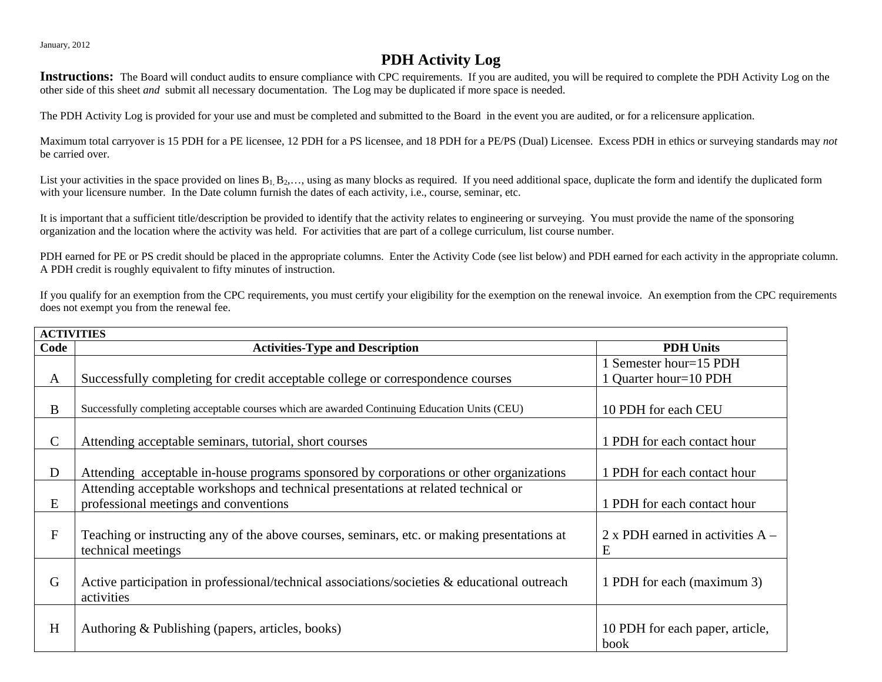January, 2012

## **PDH Activity Log**

Instructions: The Board will conduct audits to ensure compliance with CPC requirements. If you are audited, you will be required to complete the PDH Activity Log on the other side of this sheet *and* submit all necessary documentation. The Log may be duplicated if more space is needed.

The PDH Activity Log is provided for your use and must be completed and submitted to the Board in the event you are audited, or for a relicensure application.

Maximum total carryover is 15 PDH for a PE licensee, 12 PDH for a PS licensee, and 18 PDH for a PE/PS (Dual) Licensee. Excess PDH in ethics or surveying standards may *not*  be carried over.

List your activities in the space provided on lines  $B_1, B_2, \ldots$ , using as many blocks as required. If you need additional space, duplicate the form and identify the duplicated form with your licensure number. In the Date column furnish the dates of each activity, i.e., course, seminar, etc.

It is important that a sufficient title/description be provided to identify that the activity relates to engineering or surveying. You must provide the name of the sponsoring organization and the location where the activity was held. For activities that are part of a college curriculum, list course number.

PDH earned for PE or PS credit should be placed in the appropriate columns. Enter the Activity Code (see list below) and PDH earned for each activity in the appropriate column. A PDH credit is roughly equivalent to fifty minutes of instruction.

If you qualify for an exemption from the CPC requirements, you must certify your eligibility for the exemption on the renewal invoice. An exemption from the CPC requirements does not exempt you from the renewal fee.

| <b>ACTIVITIES</b> |                                                                                                                             |                                                 |  |  |  |  |  |  |  |
|-------------------|-----------------------------------------------------------------------------------------------------------------------------|-------------------------------------------------|--|--|--|--|--|--|--|
| Code              | <b>Activities-Type and Description</b>                                                                                      | <b>PDH Units</b>                                |  |  |  |  |  |  |  |
| A                 | Successfully completing for credit acceptable college or correspondence courses                                             | 1 Semester hour=15 PDH<br>1 Quarter hour=10 PDH |  |  |  |  |  |  |  |
| B                 | Successfully completing acceptable courses which are awarded Continuing Education Units (CEU)                               | 10 PDH for each CEU                             |  |  |  |  |  |  |  |
| $\mathcal{C}$     | Attending acceptable seminars, tutorial, short courses                                                                      | 1 PDH for each contact hour                     |  |  |  |  |  |  |  |
| D                 | Attending acceptable in-house programs sponsored by corporations or other organizations                                     | 1 PDH for each contact hour                     |  |  |  |  |  |  |  |
| E                 | Attending acceptable workshops and technical presentations at related technical or<br>professional meetings and conventions | 1 PDH for each contact hour                     |  |  |  |  |  |  |  |
| $\mathbf{F}$      | Teaching or instructing any of the above courses, seminars, etc. or making presentations at<br>technical meetings           | 2 x PDH earned in activities $A -$<br>E         |  |  |  |  |  |  |  |
| G                 | Active participation in professional/technical associations/societies $\&$ educational outreach<br>activities               | 1 PDH for each (maximum 3)                      |  |  |  |  |  |  |  |
| H                 | Authoring & Publishing (papers, articles, books)                                                                            | 10 PDH for each paper, article,<br>book         |  |  |  |  |  |  |  |